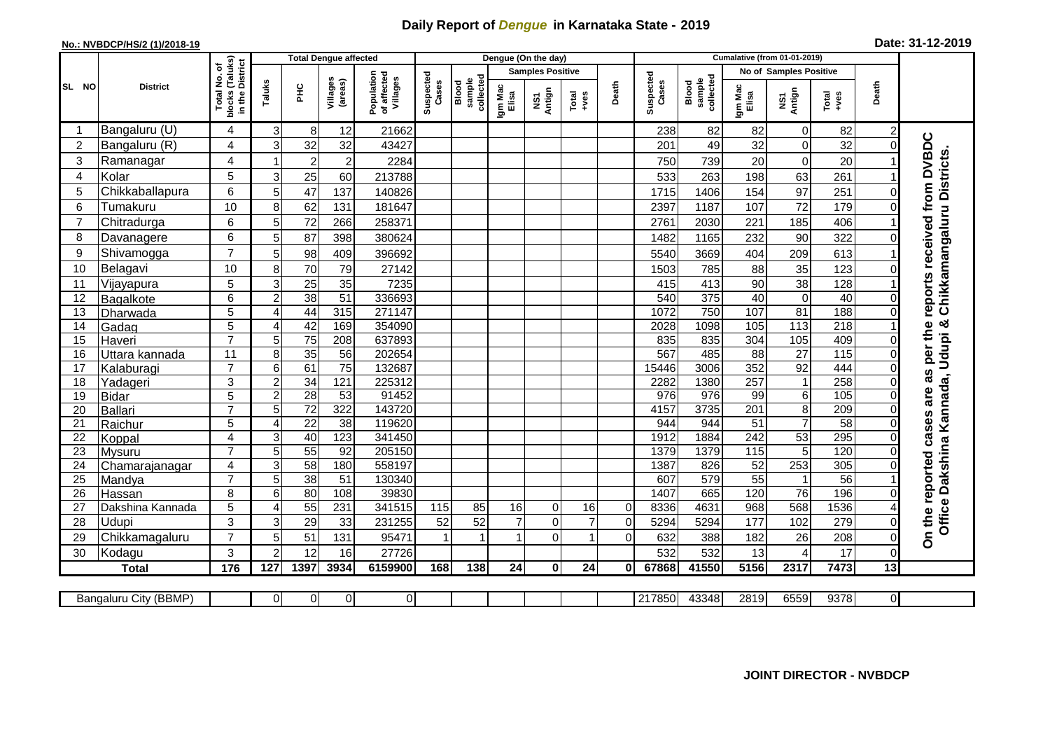## **Daily Report of** *Dengue* **in Karnataka State - 2019**

## **No.: NVBDCP/HS/2 (1)/2018-19**

| Date: 31-12-2019 |  |  |  |  |
|------------------|--|--|--|--|
|------------------|--|--|--|--|

| <b>Total Dengue affected</b> |                            |                                                 |                |                       |                     |                                       | Dengue (On the day) |                              |                  |                         |                 |             |                    | <b>Cumalative (from 01-01-2019)</b> |                        |                   |                  |                |                                          |  |  |
|------------------------------|----------------------------|-------------------------------------------------|----------------|-----------------------|---------------------|---------------------------------------|---------------------|------------------------------|------------------|-------------------------|-----------------|-------------|--------------------|-------------------------------------|------------------------|-------------------|------------------|----------------|------------------------------------------|--|--|
|                              | <b>District</b>            | ৳                                               |                |                       |                     |                                       |                     |                              |                  | <b>Samples Positive</b> |                 |             |                    |                                     | No of Samples Positive |                   |                  |                |                                          |  |  |
| SL NO                        |                            | blocks (Taluks)<br>in the District<br>Total No. | Taluks         | <b>PHC</b>            | Villages<br>(areas) | of affected<br>Villages<br>Population | Suspected<br>Cases  | collected<br>sample<br>Blood | Igm Mac<br>Elisa | Antign<br>Σή            | $Total$<br>+ves | Death       | Suspected<br>Cases | Blood<br>sample<br>collected        | Igm Mac<br>Elisa       | NS1<br>Antign     | Total<br>+ves    | Death          |                                          |  |  |
|                              | Bangaluru (U)              | 4                                               | 3              | 8                     | 12                  | 21662                                 |                     |                              |                  |                         |                 |             | 238                | 82                                  | 82                     | 0                 | 82               | $\overline{c}$ |                                          |  |  |
| $\overline{c}$               | Bangaluru (R)              | 4                                               | 3              | 32                    | 32                  | 43427                                 |                     |                              |                  |                         |                 |             | 201                | 49                                  | 32                     | $\Omega$          | 32               | 0              |                                          |  |  |
| 3                            | Ramanagar                  | 4                                               |                | $\overline{c}$        | $\overline{2}$      | 2284                                  |                     |                              |                  |                         |                 |             | 750                | 739                                 | 20                     | $\Omega$          | 20               |                | from DVBDC<br>Chikkamangaluru Districts. |  |  |
| 4                            | Kolar                      | 5                                               | 3              | 25                    | 60                  | 213788                                |                     |                              |                  |                         |                 |             | 533                | 263                                 | 198                    | 63                | 261              |                |                                          |  |  |
| 5                            | Chikkaballapura            | $6\phantom{1}6$                                 | 5              | 47                    | 137                 | 140826                                |                     |                              |                  |                         |                 |             | 1715               | 1406                                | 154                    | 97                | $\overline{251}$ |                |                                          |  |  |
| 6                            | Tumakuru                   | 10                                              | 8              | 62                    | 131                 | 181647                                |                     |                              |                  |                         |                 |             | 2397               | 1187                                | 107                    | $\overline{72}$   | 179              |                |                                          |  |  |
| $\overline{7}$               | Chitradurga                | $\,6$                                           | 5              | 72                    | 266                 | 258371                                |                     |                              |                  |                         |                 |             | 2761               | 2030                                | 221                    | 185               | 406              |                |                                          |  |  |
| 8                            | Davanagere                 | $\,6$                                           | 5              | 87                    | 398                 | 380624                                |                     |                              |                  |                         |                 |             | 1482               | 1165                                | 232                    | 90                | 322              |                |                                          |  |  |
| 9                            | Shivamogga                 | $\overline{7}$                                  | 5              | 98                    | 409                 | 396692                                |                     |                              |                  |                         |                 |             | 5540               | 3669                                | 404                    | 209               | 613              |                | reports received                         |  |  |
| 10                           | Belagavi                   | 10                                              | 8              | 70                    | 79                  | 27142                                 |                     |                              |                  |                         |                 |             | 1503               | 785                                 | 88                     | 35                | 123              |                |                                          |  |  |
| 11                           | Vijayapura                 | 5                                               | 3              | 25                    | 35                  | 7235                                  |                     |                              |                  |                         |                 |             | 415                | 413                                 | 90                     | 38                | 128              |                |                                          |  |  |
| 12                           | Bagalkote                  | 6                                               | 2              | $\overline{38}$       | $\overline{51}$     | 336693                                |                     |                              |                  |                         |                 |             | 540                | 375                                 | 40                     | $\mathbf 0$       | 40               |                |                                          |  |  |
| 13                           | Dharwada                   | $\overline{5}$                                  | 4              | 44                    | 315                 | 271147                                |                     |                              |                  |                         |                 |             | 1072               | 750                                 | 107                    | 81                | 188              |                |                                          |  |  |
| 14                           | Gadag                      | $\overline{5}$                                  | 4              | 42                    | 169                 | 354090                                |                     |                              |                  |                         |                 |             | 2028               | 1098                                | $\frac{105}{2}$        | 113               | 218              |                |                                          |  |  |
| 15                           | Haveri                     | $\overline{7}$                                  | 5              | $\overline{75}$       | 208                 | 637893                                |                     |                              |                  |                         |                 |             | 835                | 835                                 | $\overline{304}$       | $\frac{105}{105}$ | 409              |                |                                          |  |  |
| 16                           | Uttara kannada             | 11                                              | 8              | 35                    | $\overline{56}$     | 202654                                |                     |                              |                  |                         |                 |             | 567                | 485                                 | $\overline{88}$        | $\overline{27}$   | 115              |                | per the                                  |  |  |
| 17                           | Kalaburagi                 | $\overline{7}$                                  | 6              | 61                    | 75                  | 132687                                |                     |                              |                  |                         |                 |             | 15446              | 3006                                | 352                    | $\overline{92}$   | 444              |                | n,                                       |  |  |
| 18                           | Yadageri                   | $\overline{3}$                                  | $\overline{2}$ | $\overline{34}$       | 121                 | 225312                                |                     |                              |                  |                         |                 |             | 2282               | 1380                                | 257                    |                   | 258              |                | ä                                        |  |  |
| 19                           | <b>Bidar</b>               | 5                                               | $\overline{2}$ | 28                    | 53                  | 91452                                 |                     |                              |                  |                         |                 |             | 976                | 976                                 | 99                     | 6 <sup>1</sup>    | 105              |                | are                                      |  |  |
| 20                           | <b>Ballari</b>             | $\overline{7}$                                  | 5              | $\overline{72}$       | 322                 | 143720                                |                     |                              |                  |                         |                 |             | 4157               | 3735                                | 201                    | 8                 | 209              |                |                                          |  |  |
| 21                           | Raichur                    | $\overline{5}$                                  | 4              | $\overline{22}$       | 38                  | 119620                                |                     |                              |                  |                         |                 |             | 944                | 944                                 | 51                     | $\overline{7}$    | 58               |                | cases                                    |  |  |
| $\overline{22}$              | Koppal                     | $\overline{4}$                                  | 3              | 40                    | 123                 | 341450                                |                     |                              |                  |                         |                 |             | 1912               | 1884                                | 242                    | 53                | 295              |                |                                          |  |  |
| 23                           | Mysuru                     | $\overline{7}$                                  | 5              | 55                    | $\overline{92}$     | 205150                                |                     |                              |                  |                         |                 |             | 1379               | 1379                                | $\frac{115}{115}$      | 5                 | 120              |                |                                          |  |  |
| 24<br>25                     | Chamarajanagar             | 4<br>$\overline{7}$                             | 3<br>5         | 58<br>$\overline{38}$ | 180<br>51           | 558197<br>130340                      |                     |                              |                  |                         |                 |             | 1387<br>607        | 826<br>579                          | 52<br>55               | 253               | 305<br>56        |                |                                          |  |  |
| 26                           | Mandya                     | 8                                               | 6              | 80                    | 108                 | 39830                                 |                     |                              |                  |                         |                 |             | 1407               | 665                                 | 120                    | $\overline{76}$   | 196              |                | reported                                 |  |  |
| 27                           | Hassan<br>Dakshina Kannada | 5                                               | 4              | 55                    | 231                 | 341515                                | 115                 | 85                           | 16               | 0                       | 16              | $\mathbf 0$ | 8336               | 4631                                | 968                    | 568               | 1536             |                |                                          |  |  |
| 28                           | Udupi                      | $\mathbf{3}$                                    |                | 29                    | 33                  | 231255                                | 52                  | 52                           | $\overline{7}$   | 0                       | $\overline{7}$  | $\mathbf 0$ | 5294               | 5294                                | 177                    | 102               | 279              | O              | Office Dakshina Kannada, Udupi &         |  |  |
| 29                           | Chikkamagaluru             | $\overline{7}$                                  | 5              | 51                    | 131                 | 95471                                 | 1                   | $\mathbf{1}$                 | 1                | 0                       | $\mathbf{1}$    | $\Omega$    | 632                | 388                                 | 182                    | 26                | 208              | 0              | On the                                   |  |  |
| 30                           | Kodagu                     | $\mathbf{3}$                                    | $\overline{2}$ | 12                    | 16                  | 27726                                 |                     |                              |                  |                         |                 |             | 532                | 532                                 | 13                     |                   | 17               | 0              |                                          |  |  |
|                              | <b>Total</b>               | 176                                             | 127            | 1397                  | 3934                | 6159900                               | 168                 | 138                          | 24               | 0                       | 24              | 0l          | 67868              | 41550                               | 5156                   | 2317              | 7473             | 13             |                                          |  |  |
|                              |                            |                                                 |                |                       |                     |                                       |                     |                              |                  |                         |                 |             |                    |                                     |                        |                   |                  |                |                                          |  |  |
|                              | Bangaluru City (BBMP)      |                                                 | $\Omega$       | $\overline{0}$        | $\overline{0}$      | $\overline{0}$                        |                     |                              |                  |                         |                 |             | 217850             | 43348                               | 2819                   | 6559              | 9378             | $\overline{0}$ |                                          |  |  |